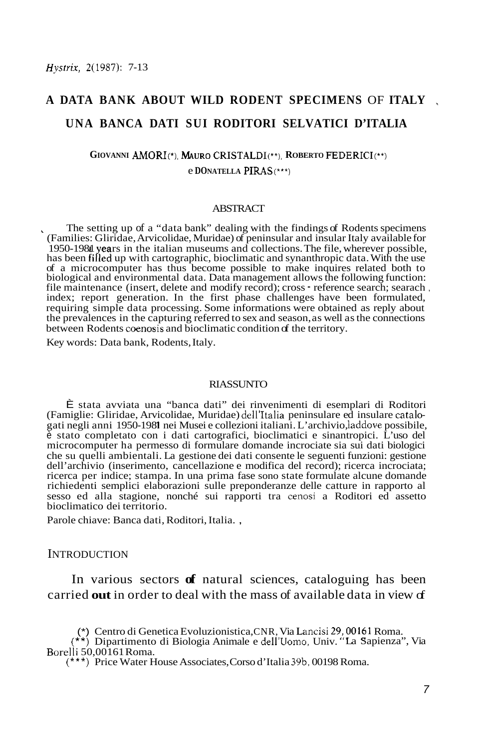# **A DATA BANK ABOUT WILD RODENT SPECIMENS** OF **ITALY UNA BANCA DATI SUI RODITORI SELVATICI D'ITALIA**

# **GIOVANNI** AMORI(\*). **MAURO** CRISTALDI(\*\*), **ROBERTO** EDERICI(\*\*) e **DONATELLA** PIRAS(\*\*\*)

### **ABSTRACT**

The setting up of a "data bank" dealing with the findings of Rodents specimens (Families: Gliridae, Arvicolidae, Muridae) of peninsular and insular Italy available for 1950-1981 years in the italian museums and collections. The file, wherever possible, has been filled up with cartographic, bioclimatic and synanthropic data. With the use of a microcomputer has thus become possible to make inquires related both to biological and environmental data. Data management allows the following function: file maintenance (insert, delete and modify record); cross - reference search; searach , index; report generation. In the first phase challenges have been formulated, requiring simple data processing. Some informations were obtained as reply about the prevalences in the capturing referred to sex and season, as well as the connections between Rodents coenosis and bioclimatic condition of the territory.

Key words: Data bank, Rodents, Italy.

#### RIASSUNTO

È stata avviata una "banca dati" dei rinvenimenti di esemplari di Roditori (Famiglie: Gliridae, Arvicolidae, Muridae) dell'Italia peninsulare ed insulare catalogati negli anni 1950-1981 nei Musei e collezioni italiani. L'archivio, laddove possibile, è stato completato con i dati cartografici, bioclimatici e sinantropici. L'uso del microcomputer ha permesso di formulare domande incrociate sia sui dati biologici che su quelli ambientali. La gestione dei dati consente le seguenti funzioni: gestione dell'archivio (inserimento, cancellazione e modifica del record); ricerca incrociata; ricerca per indice; stampa. In una prima fase sono state formulate alcune domande richiedenti semplici elaborazioni sulle preponderanze delle catture in rapporto al sesso ed alla stagione, nonché sui rapporti tra cenosi a Roditori ed assetto bioclimatico dei territorio.

Parole chiave: Banca dati, Roditori, Italia. ,

#### INTRODUCTION

In various sectors **of** natural sciences, cataloguing has been carried **out** in order to deal with the mass of available data in view of

(\*) Centro di Genetica Evoluzionistica, CNR, Via Lancisi 29;,00161 Roma.

(\*\*) Dipartimento di Biologia Animale e dell'Uomo, Univ. "La Sapienza", Via Borelli 50,00161 Roma.

(\*\*\*) Price Water House Associates, Corso d'Italia 39b, 00198 Roma.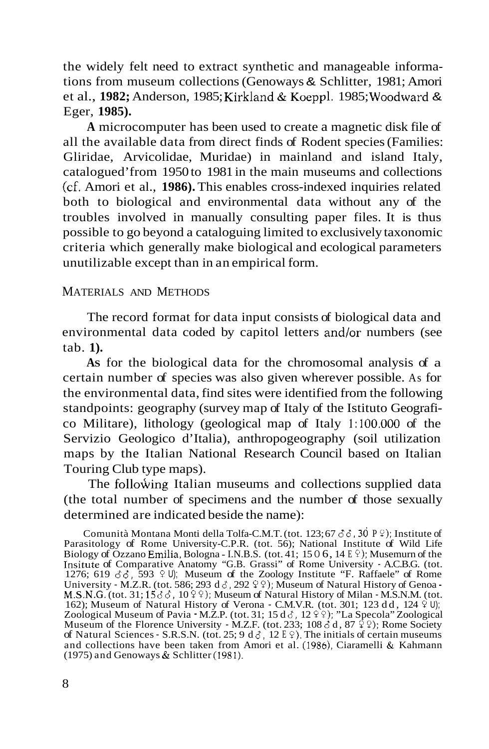the widely felt need to extract synthetic and manageable informations from museum collections (Genoways & Schlitter, 1981; Amori et al., **1982;** Anderson, 1985; Kirkland & Koeppl. 1985; Woodward & Eger, **1985).** 

**A** microcomputer has been used to create a magnetic disk file of all the available data from direct finds of Rodent species (Families: Gliridae, Arvicolidae, Muridae) in mainland and island Italy, catalogued'from 1950 to 1981 in the main museums and collections (cf. Amori et al., **1986).** This enables cross-indexed inquiries related both to biological and environmental data without any of the troubles involved in manually consulting paper files. It is thus possible to go beyond a cataloguing limited to exclusively taxonomic criteria which generally make biological and ecological parameters unutilizable except than in an empirical form.

# MATERIALS AND METHODS

The record format for data input consists of biological data and environmental data coded by capitol letters and/or numbers (see tab. **1).** 

**AS** for the biological data for the chromosomal analysis of a certain number of species was also given wherever possible. As for the environmental data, find sites were identified from the following standpoints: geography (survey map of Italy of the Istituto Geografico Militare), lithology (geological map of Italy **1:lOO.OOO** of the Servizio Geologico d'Italia), anthropogeography (soil utilization maps by the Italian National Research Council based on Italian Touring Club type maps).

The following Italian museums and collections supplied data (the total number of specimens and the number of those sexually determined are indicated beside the name):

Comunità Montana Monti della Tolfa-C.M.T. (tot. 123; 67  $\delta \delta$ , 30 P  $\circ$ ); Institute of Rome University-C.P.R. (tot. 56); National Institute of Wild Life Biology of Ozzano Emilia, Bologna - I.N.B.S. (tot. 41; 15 O 6, 14 E *9);* Musemurn of the Insitute of Comparative Anatomy "G.B. Grassi" of Rome University - A.C.B.G. (tot.<br>1276; 619  $\delta \delta$ , 593  $\Omega$  )); Museum of the Zoology Institute "F. Raffaele" of Rome<br>University - M.Z.R. (tot. 586; 293 d $\delta$ , 292  $\Omega$ ); M Zoological Museum of Pavia - M.Z.P. (tot. 31; 15 d  $\delta$ , 12  $\Sigma$  ); "La Specola" Zoological Museum of the Florence University - M.Z.F. (tot. 233; 108 d d, 87 <sup>9</sup> <sup>0</sup>); Rome Society of Natural Sciences - S.R.S.N. (tot. 25; 9 d d, 12 E <sup>0</sup>). The initials of certain museums and collections have been taken from Amori et al. (1986), Ciaramelli & Kahmann (1975) and Genoways & Schlitter (1981).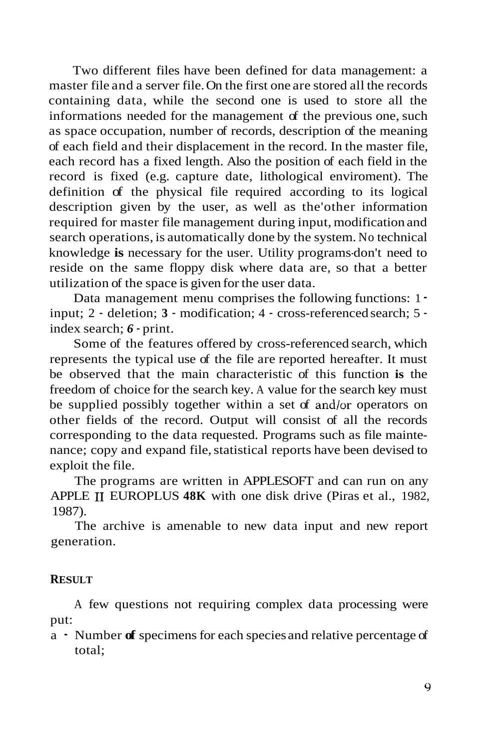Two different files have been defined for data management: a master file and a server file. On the first one are stored all the records containing data, while the second one is used to store all the informations needed for the management of the previous one, such as space occupation, number of records, description of the meaning of each field and their displacement in the record. In the master file, each record has a fixed length. Also the position of each field in the record is fixed (e.g. capture date, lithological enviroment). The definition of the physical file required according to its logical description given by the user, as well as the'other information required for master file management during input, modification and search operations, is automatically done by the system. No technical knowledge **is** necessary for the user. Utility programs-don't need to reside on the same floppy disk where data are, so that a better utilization of the space is given for the user data.

Data management menu comprises the following functions: 1 input; 2 - deletion; **3** - modification; 4 - cross-referenced search; 5 index search; *6* - print.

Some of the features offered by cross-referenced search, which represents the typical use of the file are reported hereafter. It must be observed that the main characteristic of this function **is** the freedom of choice for the search key. A value for the search key must be supplied possibly together within a set of and/or operators on other fields of the record. Output will consist of all the records corresponding to the data requested. Programs such as file maintenance; copy and expand file, statistical reports have been devised to exploit the file.

The programs are written in APPLESOFT and can run on any APPLE **I1** EUROPLUS **48K** with one disk drive (Piras et al., 1982, 1987).

The archive is amenable to new data input and new report generation.

## **RESULT**

A few questions not requiring complex data processing were put:

a - Number **of** specimens for each species and relative percentage of total;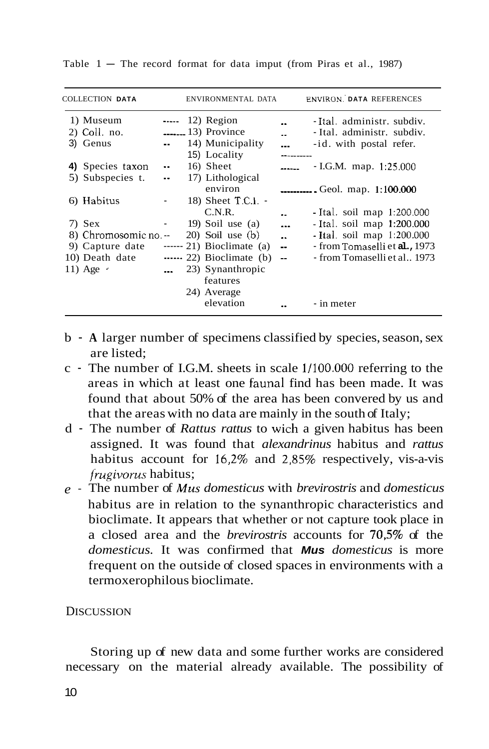| COLLECTION DATA       |                          | ENVIRONMENTAL DATA          |                 | <b>ENVIRON. DATA REFERENCES</b> |
|-----------------------|--------------------------|-----------------------------|-----------------|---------------------------------|
| 1) Museum             |                          | $\cdots$ 12) Region         |                 | -Ital. administr. subdiv.       |
| 2) Coll. no.          |                          | $\frac{13}{2}$ Province     |                 | - Ital. administr. subdiv.      |
| 3) Genus              | $\sim$                   | 14) Municipality            |                 | -id. with postal refer.         |
|                       |                          | 15) Locality                |                 |                                 |
| 4) Species taxon      | $\ddotsc$                | 16) Sheet                   |                 | $-LG.M.$ map. 1:25.000          |
| 5) Subspecies t.      | $\overline{\phantom{a}}$ | 17) Lithological            |                 |                                 |
|                       |                          | environ                     |                 | <b></b> Geol. map. 1:100.000    |
| 6) Habitus            |                          | 18) Sheet $T.C.1.$ -        |                 |                                 |
|                       |                          | C.N.R.                      |                 | - Ital. soil map 1:200.000      |
| 7) Sex                |                          | 19) Soil use $(a)$          | $\overline{a}$  | - Ital. soil map 1:200.000      |
| 8) Chromosomic no. -- |                          | $(20)$ Soil use $(b)$       |                 | - Ital. soil map 1:200.000      |
| 9) Capture date       |                          | $--- 21$ ) Bioclimate (a)   | $\sim 10^{-10}$ | - from Tomaselli et al., 1973   |
| 10) Death date        |                          | $\cdots$ 22) Bioclimate (b) | $\sim$          | - from Tomaselli et al., 1973   |
| 11) Age $\cdot$       |                          | 23) Synanthropic            |                 |                                 |
|                       |                          | features                    |                 |                                 |
|                       |                          | 24) Average                 |                 |                                 |
|                       |                          | elevation                   |                 | - in meter                      |
|                       |                          |                             |                 |                                 |

Table  $1 -$  The record format for data imput (from Piras et al., 1987)

- b **A** larger number of specimens classified by species, season, sex are listed;
- c The number of I.G.M. sheets in scale 1/100.000 referring to the areas in which at least one fauna1 find has been made. It was found that about 50% of the area has been convered by us and that the areas with no data are mainly in the south of Italy;
- d The number of *Rattus rattus* to wich a given habitus has been assigned. It was found that *alexandrinus* habitus and *rattus*  habitus account for 16,2% and 2.85% respectively, vis-a-vis *frugivorus* habitus;
- *e*  The number of *Mus domesticus* with *brevirostris* and *domesticus*  habitus are in relation to the synanthropic characteristics and bioclimate. It appears that whether or not capture took place in a closed area and the *brevirostris* accounts for **705%** of the *domesticus.* It was confirmed that *Mus domesticus* is more frequent on the outside of closed spaces in environments with a termoxerophilous bioclimate.

### **DISCUSSION**

Storing up of new data and some further works are considered necessary on the material already available. The possibility of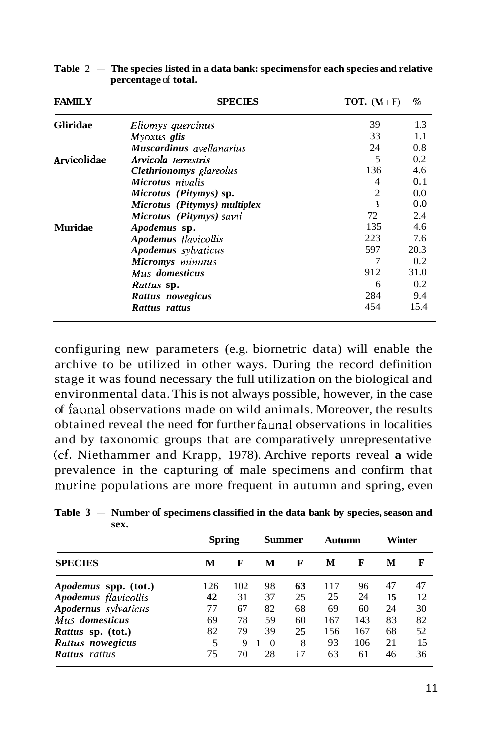| <b>FAMILY</b>                                                                                                                                         | <b>SPECIES</b>               | TOT. $(M+F)$   | %    |  |
|-------------------------------------------------------------------------------------------------------------------------------------------------------|------------------------------|----------------|------|--|
| <b>Gliridae</b>                                                                                                                                       | Eliomys quercinus            | 39             | 1.3  |  |
|                                                                                                                                                       | Myoxus glis                  | 33             | 1.1  |  |
|                                                                                                                                                       | Muscardinus avellanarius     | 24             | 0.8  |  |
| Arvicolidae                                                                                                                                           | Arvicola terrestris          | 5              | 0.2  |  |
|                                                                                                                                                       | Clethrionomys glareolus      | 136            | 4.6  |  |
|                                                                                                                                                       | Microtus nivalis             | 4              | 0.1  |  |
|                                                                                                                                                       | Microtus (Pitymys) sp.       | $\overline{2}$ | 0.0  |  |
|                                                                                                                                                       | Microtus (Pitymys) multiplex | 1              | 0.0  |  |
|                                                                                                                                                       | Microtus (Pitymys) savii     | 72             | 2.4  |  |
| <b>Muridae</b><br>Apodemus sp.<br>Apodemus flavicollis<br>Apodemus sylvaticus<br>Micromys minutus<br>Mus domesticus<br>Rattus sp.<br>Rattus nowegicus |                              | 135            | 4.6  |  |
|                                                                                                                                                       | 223                          | 7.6            |      |  |
|                                                                                                                                                       | 597                          | 20.3           |      |  |
|                                                                                                                                                       |                              | 7              | 0.2  |  |
|                                                                                                                                                       |                              | 912            | 31.0 |  |
|                                                                                                                                                       |                              | 6              | 0.2  |  |
|                                                                                                                                                       |                              | 284            | 9.4  |  |
|                                                                                                                                                       | Rattus rattus                | 454            | 15.4 |  |

Table 2 - The species listed in a data bank: specimens for each species and relative **percentage** of **total.** 

configuring new parameters (e.g. biornetric data) will enable the archive to be utilized in other ways. During the record definition stage it was found necessary the full utilization on the biological and environmental data. This is not always possible, however, in the case of faunal observations made on wild animals. Moreover, the results obtained reveal the need for further faunal observations in localities and by taxonomic groups that are comparatively unrepresentative (cf. Niethammer and Krapp, 1978). Archive reports reveal **a** wide prevalence in the capturing of male specimens and confirm that murine populations are more frequent in autumn and spring, even

| <b>SPECIES</b>              | Spring |     | Summer   |    | Autumn |     | Winter |    |
|-----------------------------|--------|-----|----------|----|--------|-----|--------|----|
|                             | м      | F   | М        | F  | М      | F   | М      | F  |
| <i>Apodemus</i> spp. (tot.) | 126    | 102 | 98       | 63 | 117    | 96  | 47     | 47 |
| Apodemus flavicollis        | 42     | 31  | 37       | 25 | 25     | 24  | 15     | 12 |
| Apodernus sylvaticus        | 77     | 67  | 82       | 68 | 69     | 60  | 24     | 30 |
| Mus domesticus              | 69     | 78  | 59       | 60 | 167    | 143 | 83     | 82 |
| <i>Rattus</i> sp. (tot.)    | 82     | 79  | 39       | 25 | 156    | 167 | 68     | 52 |
| Rattus nowegicus            | 5      | 9   | $\Omega$ | 8  | 93     | 106 | 21     | 15 |
| <b>Rattus</b> rattus        | 75     | 70  | 28       | i7 | 63     | 61  | 46     | 36 |

Table 3 – Number of specimens classified in the data bank by species, season and **sex.**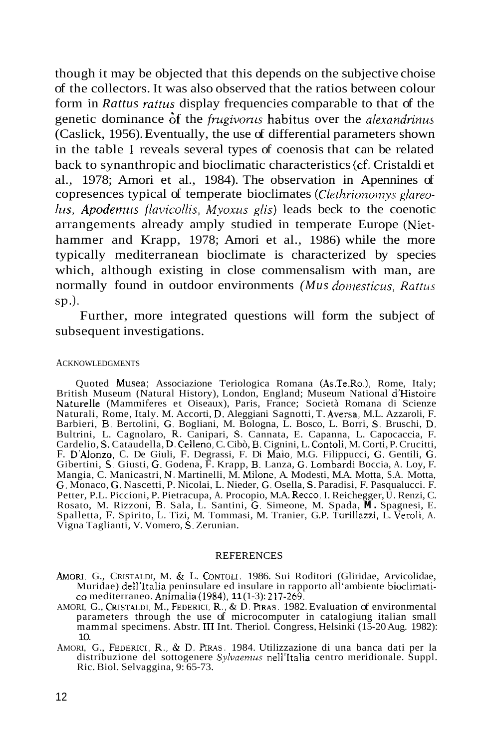though it may be objected that this depends on the subjective choise of the collectors. It was also observed that the ratios between colour form in *Rattus rattus* display frequencies comparable to that of the genetic dominance Òf the *fmgivoms* habitus over the *alexandrinus*  (Caslick, 1956). Eventually, the use of differential parameters shown in the table 1 reveals several types of coenosis that can be related back to synanthropic and bioclimatic characteristics (cf. Cristaldi et al., 1978; Amori et al., 1984). The observation in Apennines of copresences typical of temperate bioclimates *(Clethrionomys glareo-Itis, Apodemtis flavicollis, Myoxus glis)* leads beck to the coenotic arrangements already amply studied in temperate Europe (Niethammer and Krapp, 1978; Amori et al., 1986) while the more typically mediterranean bioclimate is characterized by species which, although existing in close commensalism with man, are normally found in outdoor environments *(Mus domesticus, Rattus* sp.).

Further, more integrated questions will form the subject of subsequent investigations.

#### ACKNOWLEDGMENTS

Quoted Musea; Associazione Teriologica Romana (As.Te.Ro.), Rome, Italy; British Museum (Natural History), London, England; Museum National d'Histoire Naturelle (Mammiferes et Oiseaux), Paris, France; Società Romana di Scienze Naturali, Rome, Italy. M. Accorti, D. Aleggiani Sagnotti, T. Aversa, M.L. Azzaroli, F. Barbieri, B. Bertolini, *G.* Bogliani, M. Bologna, L. Bosco, L. Borri, **S.** Bruschi, D. Bultrini, L. Cagnolaro, R. Canipari, *S.* Cannata, E. Capanna, L. Capocaccia, F. Cardelio, *S.* Cataudella, D. Celleno, C. Cibò, **B.** Cignini, L. Contoli, M. Corti, P. Crucitti, F. D'Alonzo, C. De Giuli, F. Degrassi, F. Di Maio, M.G. Filippucci, G. Gentili, *G.*  Gibertini, *S.* Giusti, G. Godena, F. Krapp, **B.** Lanza, G. Lombardi Boccia, A. Loy, F. Mangia, C. Manicastri, N. Martinelli, M. Milone, A. Modesti, M.A. Motta, S.A. Motta, *G.* Monaco, *G.* Nascetti, P. Nicolai, L. Nieder, *G.* Osella, *S.* Paradisi, F. Pasqualucci. F. Petter, P.L. Piccioni, P. Pietracupa, A. Procopio, M.A. Recco, I. Reichegger, U. Renzi, C. Rosato, M. Rizzoni, **B.** Sala, L. Santini, G. Simeone, M. Spada, **M.** Spagnesi, E. Spalletta, F. Spirito, L. Tizi, M. Tommasi, M. Tranier, G.P. Turillazzi, L. Veroli, A. Vigna Taglianti, V. Vomero, **S.** Zerunian.

#### **REFERENCES**

- AMORI, G., CRISTALDI, M. & L. **CONTOLI.** 1986. Sui Roditori (Gliridae, Arvicolidae, Muridae) dell'Italia peninsulare ed insulare in rapporto all'ambiente bioclimati-CO mediterraneo. Animalia (1984), **11** (1-3): 217-269.
- AMORI, G., CRISTALDI, M., FEDERICI, R., & D. PIRAS. 1982. Evaluation of environmental parameters through the use of microcomputer in catalogiung italian small mammal specimens. Abstr. III Int. Theriol. Congress, Helsinki  $(15-20 \text{ Aug. } 1982)$ : 10.
- AMORI, G., FEDERICI, R., & D. PIRAS. 1984. Utilizzazione di una banca dati per la distribuzione del sottogenere *Sylvaernus* nell'Italia centro meridionale. Suppl. Ric. Biol. Selvaggina, 9: 65-73.